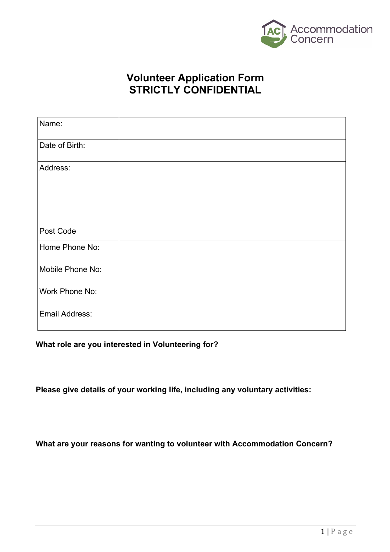

# **Volunteer Application Form STRICTLY CONFIDENTIAL**

| Name:            |  |  |
|------------------|--|--|
| Date of Birth:   |  |  |
| Address:         |  |  |
| Post Code        |  |  |
| Home Phone No:   |  |  |
| Mobile Phone No: |  |  |
| Work Phone No:   |  |  |
| Email Address:   |  |  |

#### **What role are you interested in Volunteering for?**

**Please give details of your working life, including any voluntary activities:**

**What are your reasons for wanting to volunteer with Accommodation Concern?**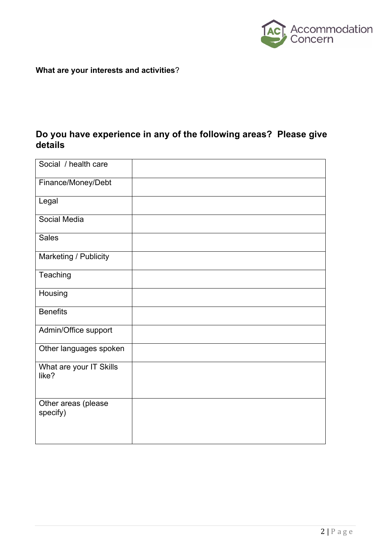

**What are your interests and activities**?

### **Do you have experience in any of the following areas? Please give details**

| Social / health care             |  |
|----------------------------------|--|
| Finance/Money/Debt               |  |
| Legal                            |  |
| Social Media                     |  |
| <b>Sales</b>                     |  |
| Marketing / Publicity            |  |
| Teaching                         |  |
| Housing                          |  |
| <b>Benefits</b>                  |  |
| Admin/Office support             |  |
| Other languages spoken           |  |
| What are your IT Skills<br>like? |  |
| Other areas (please<br>specify)  |  |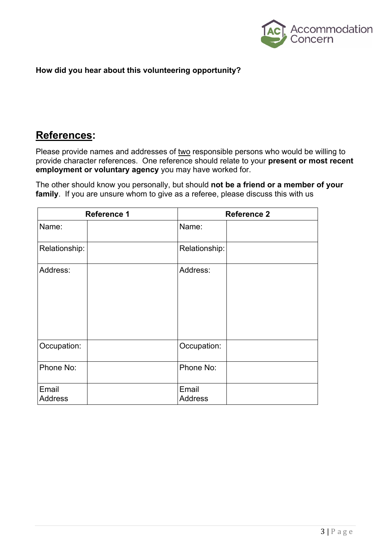

#### **How did you hear about this volunteering opportunity?**

## **References:**

Please provide names and addresses of two responsible persons who would be willing to provide character references. One reference should relate to your **present or most recent employment or voluntary agency** you may have worked for.

The other should know you personally, but should **not be a friend or a member of your family**. If you are unsure whom to give as a referee, please discuss this with us

| <b>Reference 1</b>      | <b>Reference 2</b>      |  |  |
|-------------------------|-------------------------|--|--|
| Name:                   | Name:                   |  |  |
| Relationship:           | Relationship:           |  |  |
| Address:                | Address:                |  |  |
| Occupation:             | Occupation:             |  |  |
| Phone No:               | Phone No:               |  |  |
| Email<br><b>Address</b> | Email<br><b>Address</b> |  |  |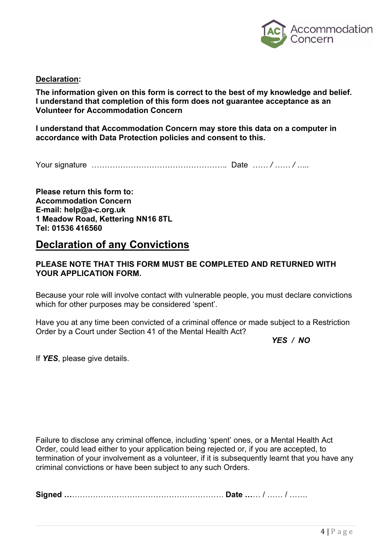

**Declaration:**

**The information given on this form is correct to the best of my knowledge and belief. I understand that completion of this form does not guarantee acceptance as an Volunteer for Accommodation Concern**

**I understand that Accommodation Concern may store this data on a computer in accordance with Data Protection policies and consent to this.**

Your signature *…………………………………………….* Date *…… / …… / …..*

**Please return this form to: Accommodation Concern E-mail: help@a-c.org.uk 1 Meadow Road, Kettering NN16 8TL Tel: 01536 416560**

## **Declaration of any Convictions**

#### **PLEASE NOTE THAT THIS FORM MUST BE COMPLETED AND RETURNED WITH YOUR APPLICATION FORM.**

Because your role will involve contact with vulnerable people, you must declare convictions which for other purposes may be considered 'spent'.

Have you at any time been convicted of a criminal offence or made subject to a Restriction Order by a Court under Section 41 of the Mental Health Act?

*YES / NO*

If *YES*, please give details.

Failure to disclose any criminal offence, including 'spent' ones, or a Mental Health Act Order, could lead either to your application being rejected or, if you are accepted, to termination of your involvement as a volunteer, if it is subsequently learnt that you have any criminal convictions or have been subject to any such Orders.

**Signed …**…………………………………………………. **Date …**… / …… / …….